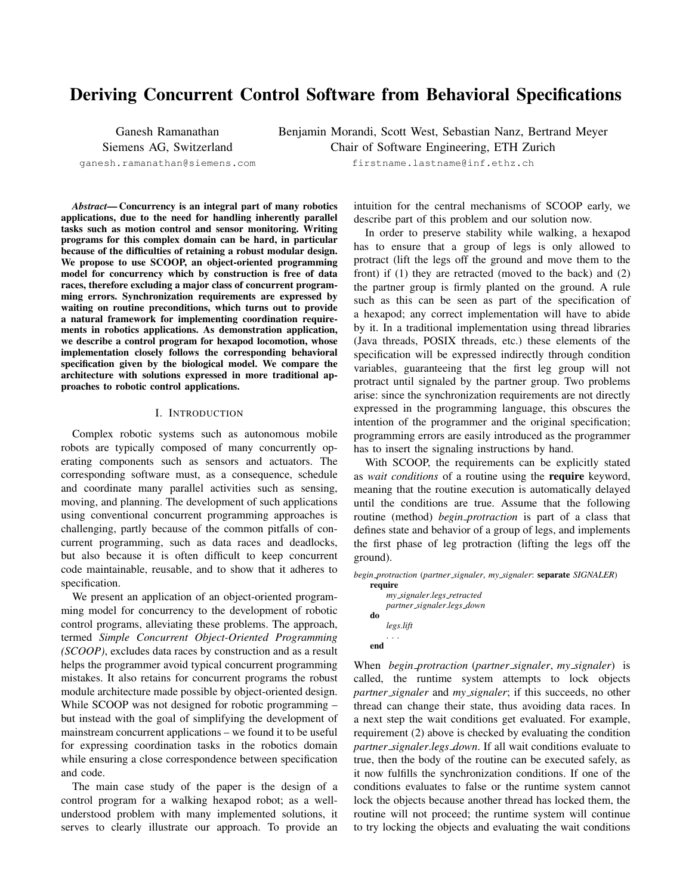# Deriving Concurrent Control Software from Behavioral Specifications

Ganesh Ramanathan Siemens AG, Switzerland Benjamin Morandi, Scott West, Sebastian Nanz, Bertrand Meyer Chair of Software Engineering, ETH Zurich

ganesh.ramanathan@siemens.com

firstname.lastname@inf.ethz.ch

*Abstract*— Concurrency is an integral part of many robotics applications, due to the need for handling inherently parallel tasks such as motion control and sensor monitoring. Writing programs for this complex domain can be hard, in particular because of the difficulties of retaining a robust modular design. We propose to use SCOOP, an object-oriented programming model for concurrency which by construction is free of data races, therefore excluding a major class of concurrent programming errors. Synchronization requirements are expressed by waiting on routine preconditions, which turns out to provide a natural framework for implementing coordination requirements in robotics applications. As demonstration application, we describe a control program for hexapod locomotion, whose implementation closely follows the corresponding behavioral specification given by the biological model. We compare the architecture with solutions expressed in more traditional approaches to robotic control applications.

#### I. INTRODUCTION

Complex robotic systems such as autonomous mobile robots are typically composed of many concurrently operating components such as sensors and actuators. The corresponding software must, as a consequence, schedule and coordinate many parallel activities such as sensing, moving, and planning. The development of such applications using conventional concurrent programming approaches is challenging, partly because of the common pitfalls of concurrent programming, such as data races and deadlocks, but also because it is often difficult to keep concurrent code maintainable, reusable, and to show that it adheres to specification.

We present an application of an object-oriented programming model for concurrency to the development of robotic control programs, alleviating these problems. The approach, termed *Simple Concurrent Object-Oriented Programming (SCOOP)*, excludes data races by construction and as a result helps the programmer avoid typical concurrent programming mistakes. It also retains for concurrent programs the robust module architecture made possible by object-oriented design. While SCOOP was not designed for robotic programming – but instead with the goal of simplifying the development of mainstream concurrent applications – we found it to be useful for expressing coordination tasks in the robotics domain while ensuring a close correspondence between specification and code.

The main case study of the paper is the design of a control program for a walking hexapod robot; as a wellunderstood problem with many implemented solutions, it serves to clearly illustrate our approach. To provide an intuition for the central mechanisms of SCOOP early, we describe part of this problem and our solution now.

In order to preserve stability while walking, a hexapod has to ensure that a group of legs is only allowed to protract (lift the legs off the ground and move them to the front) if (1) they are retracted (moved to the back) and (2) the partner group is firmly planted on the ground. A rule such as this can be seen as part of the specification of a hexapod; any correct implementation will have to abide by it. In a traditional implementation using thread libraries (Java threads, POSIX threads, etc.) these elements of the specification will be expressed indirectly through condition variables, guaranteeing that the first leg group will not protract until signaled by the partner group. Two problems arise: since the synchronization requirements are not directly expressed in the programming language, this obscures the intention of the programmer and the original specification; programming errors are easily introduced as the programmer has to insert the signaling instructions by hand.

With SCOOP, the requirements can be explicitly stated as *wait conditions* of a routine using the require keyword, meaning that the routine execution is automatically delayed until the conditions are true. Assume that the following routine (method) *begin protraction* is part of a class that defines state and behavior of a group of legs, and implements the first phase of leg protraction (lifting the legs off the ground).

*begin protraction* (*partner signaler*, *my signaler*: separate *SIGNALER*)

```
require
    my signaler.legs retracted
    partner signaler.legs down
do
    legs.lift
     . . .
end
```
When *begin protraction* (*partner signaler*, *my signaler*) is called, the runtime system attempts to lock objects *partner signaler* and *my signaler*; if this succeeds, no other thread can change their state, thus avoiding data races. In a next step the wait conditions get evaluated. For example, requirement (2) above is checked by evaluating the condition *partner signaler*.*legs down*. If all wait conditions evaluate to true, then the body of the routine can be executed safely, as it now fulfills the synchronization conditions. If one of the conditions evaluates to false or the runtime system cannot lock the objects because another thread has locked them, the routine will not proceed; the runtime system will continue to try locking the objects and evaluating the wait conditions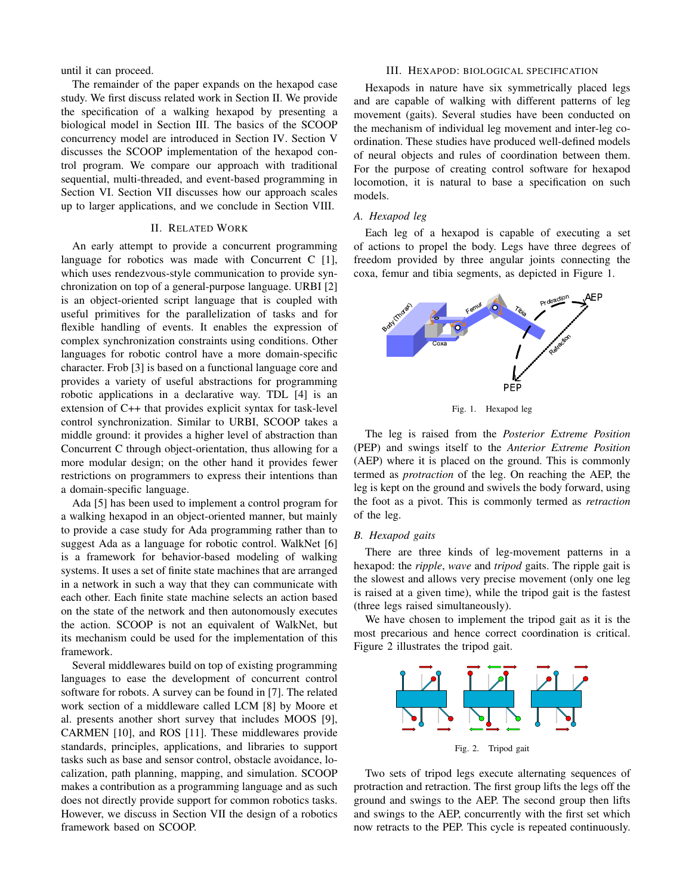until it can proceed.

The remainder of the paper expands on the hexapod case study. We first discuss related work in Section II. We provide the specification of a walking hexapod by presenting a biological model in Section III. The basics of the SCOOP concurrency model are introduced in Section IV. Section V discusses the SCOOP implementation of the hexapod control program. We compare our approach with traditional sequential, multi-threaded, and event-based programming in Section VI. Section VII discusses how our approach scales up to larger applications, and we conclude in Section VIII.

# II. RELATED WORK

An early attempt to provide a concurrent programming language for robotics was made with Concurrent C [1], which uses rendezvous-style communication to provide synchronization on top of a general-purpose language. URBI [2] is an object-oriented script language that is coupled with useful primitives for the parallelization of tasks and for flexible handling of events. It enables the expression of complex synchronization constraints using conditions. Other languages for robotic control have a more domain-specific character. Frob [3] is based on a functional language core and provides a variety of useful abstractions for programming robotic applications in a declarative way. TDL [4] is an extension of C++ that provides explicit syntax for task-level control synchronization. Similar to URBI, SCOOP takes a middle ground: it provides a higher level of abstraction than Concurrent C through object-orientation, thus allowing for a more modular design; on the other hand it provides fewer restrictions on programmers to express their intentions than a domain-specific language.

Ada [5] has been used to implement a control program for a walking hexapod in an object-oriented manner, but mainly to provide a case study for Ada programming rather than to suggest Ada as a language for robotic control. WalkNet [6] is a framework for behavior-based modeling of walking systems. It uses a set of finite state machines that are arranged in a network in such a way that they can communicate with each other. Each finite state machine selects an action based on the state of the network and then autonomously executes the action. SCOOP is not an equivalent of WalkNet, but its mechanism could be used for the implementation of this framework.

Several middlewares build on top of existing programming languages to ease the development of concurrent control software for robots. A survey can be found in [7]. The related work section of a middleware called LCM [8] by Moore et al. presents another short survey that includes MOOS [9], CARMEN [10], and ROS [11]. These middlewares provide standards, principles, applications, and libraries to support tasks such as base and sensor control, obstacle avoidance, localization, path planning, mapping, and simulation. SCOOP makes a contribution as a programming language and as such does not directly provide support for common robotics tasks. However, we discuss in Section VII the design of a robotics framework based on SCOOP.

#### III. HEXAPOD: BIOLOGICAL SPECIFICATION

Hexapods in nature have six symmetrically placed legs and are capable of walking with different patterns of leg movement (gaits). Several studies have been conducted on the mechanism of individual leg movement and inter-leg coordination. These studies have produced well-defined models of neural objects and rules of coordination between them. For the purpose of creating control software for hexapod locomotion, it is natural to base a specification on such models.

# *A. Hexapod leg*

Each leg of a hexapod is capable of executing a set of actions to propel the body. Legs have three degrees of freedom provided by three angular joints connecting the coxa, femur and tibia segments, as depicted in Figure 1.



Fig. 1. Hexapod leg

The leg is raised from the *Posterior Extreme Position* (PEP) and swings itself to the *Anterior Extreme Position* (AEP) where it is placed on the ground. This is commonly termed as *protraction* of the leg. On reaching the AEP, the leg is kept on the ground and swivels the body forward, using the foot as a pivot. This is commonly termed as *retraction* of the leg.

# *B. Hexapod gaits*

There are three kinds of leg-movement patterns in a hexapod: the *ripple*, *wave* and *tripod* gaits. The ripple gait is the slowest and allows very precise movement (only one leg is raised at a given time), while the tripod gait is the fastest (three legs raised simultaneously).

We have chosen to implement the tripod gait as it is the most precarious and hence correct coordination is critical. Figure 2 illustrates the tripod gait.



Two sets of tripod legs execute alternating sequences of protraction and retraction. The first group lifts the legs off the ground and swings to the AEP. The second group then lifts and swings to the AEP, concurrently with the first set which now retracts to the PEP. This cycle is repeated continuously.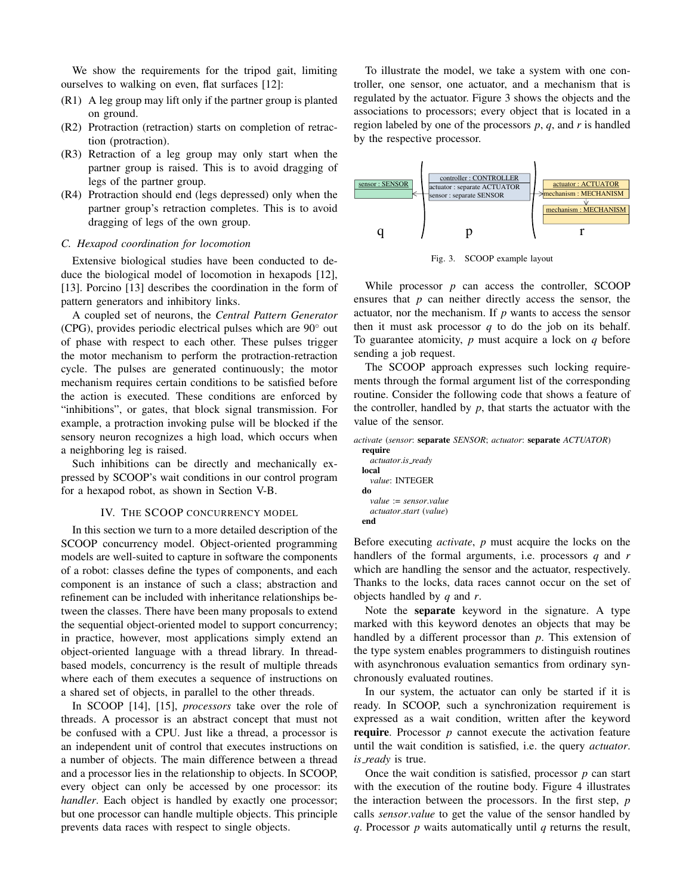We show the requirements for the tripod gait, limiting ourselves to walking on even, flat surfaces [12]:

- (R1) A leg group may lift only if the partner group is planted on ground.
- (R2) Protraction (retraction) starts on completion of retraction (protraction).
- (R3) Retraction of a leg group may only start when the partner group is raised. This is to avoid dragging of legs of the partner group.
- (R4) Protraction should end (legs depressed) only when the partner group's retraction completes. This is to avoid dragging of legs of the own group.

#### *C. Hexapod coordination for locomotion*

Extensive biological studies have been conducted to deduce the biological model of locomotion in hexapods [12], [13]. Porcino [13] describes the coordination in the form of pattern generators and inhibitory links.

A coupled set of neurons, the *Central Pattern Generator* (CPG), provides periodic electrical pulses which are 90◦ out of phase with respect to each other. These pulses trigger the motor mechanism to perform the protraction-retraction cycle. The pulses are generated continuously; the motor mechanism requires certain conditions to be satisfied before the action is executed. These conditions are enforced by "inhibitions", or gates, that block signal transmission. For example, a protraction invoking pulse will be blocked if the sensory neuron recognizes a high load, which occurs when a neighboring leg is raised.

Such inhibitions can be directly and mechanically expressed by SCOOP's wait conditions in our control program for a hexapod robot, as shown in Section V-B.

#### IV. THE SCOOP CONCURRENCY MODEL

In this section we turn to a more detailed description of the SCOOP concurrency model. Object-oriented programming models are well-suited to capture in software the components of a robot: classes define the types of components, and each component is an instance of such a class; abstraction and refinement can be included with inheritance relationships between the classes. There have been many proposals to extend the sequential object-oriented model to support concurrency; in practice, however, most applications simply extend an object-oriented language with a thread library. In threadbased models, concurrency is the result of multiple threads where each of them executes a sequence of instructions on a shared set of objects, in parallel to the other threads.

In SCOOP [14], [15], *processors* take over the role of threads. A processor is an abstract concept that must not be confused with a CPU. Just like a thread, a processor is an independent unit of control that executes instructions on a number of objects. The main difference between a thread and a processor lies in the relationship to objects. In SCOOP, every object can only be accessed by one processor: its *handler*. Each object is handled by exactly one processor; but one processor can handle multiple objects. This principle prevents data races with respect to single objects.

To illustrate the model, we take a system with one controller, one sensor, one actuator, and a mechanism that is regulated by the actuator. Figure 3 shows the objects and the associations to processors; every object that is located in a region labeled by one of the processors *p*, *q*, and *r* is handled by the respective processor.



Fig. 3. SCOOP example layout

While processor *p* can access the controller, SCOOP ensures that *p* can neither directly access the sensor, the actuator, nor the mechanism. If *p* wants to access the sensor then it must ask processor  $q$  to do the job on its behalf. To guarantee atomicity, *p* must acquire a lock on *q* before sending a job request.

The SCOOP approach expresses such locking requirements through the formal argument list of the corresponding routine. Consider the following code that shows a feature of the controller, handled by  $p$ , that starts the actuator with the value of the sensor.

*activate* (*sensor*: separate *SENSOR*; *actuator*: separate *ACTUATOR*) require *actuator*.*is ready*

local *value*: INTEGER do *value* := *sensor*.*value actuator*.*start* (*value*) end

Before executing *activate*, *p* must acquire the locks on the handlers of the formal arguments, i.e. processors *q* and *r* which are handling the sensor and the actuator, respectively. Thanks to the locks, data races cannot occur on the set of objects handled by *q* and *r*.

Note the separate keyword in the signature. A type marked with this keyword denotes an objects that may be handled by a different processor than *p*. This extension of the type system enables programmers to distinguish routines with asynchronous evaluation semantics from ordinary synchronously evaluated routines.

In our system, the actuator can only be started if it is ready. In SCOOP, such a synchronization requirement is expressed as a wait condition, written after the keyword require. Processor *p* cannot execute the activation feature until the wait condition is satisfied, i.e. the query *actuator*. *is ready* is true.

Once the wait condition is satisfied, processor *p* can start with the execution of the routine body. Figure 4 illustrates the interaction between the processors. In the first step, *p* calls *sensor*.*value* to get the value of the sensor handled by *q*. Processor *p* waits automatically until *q* returns the result,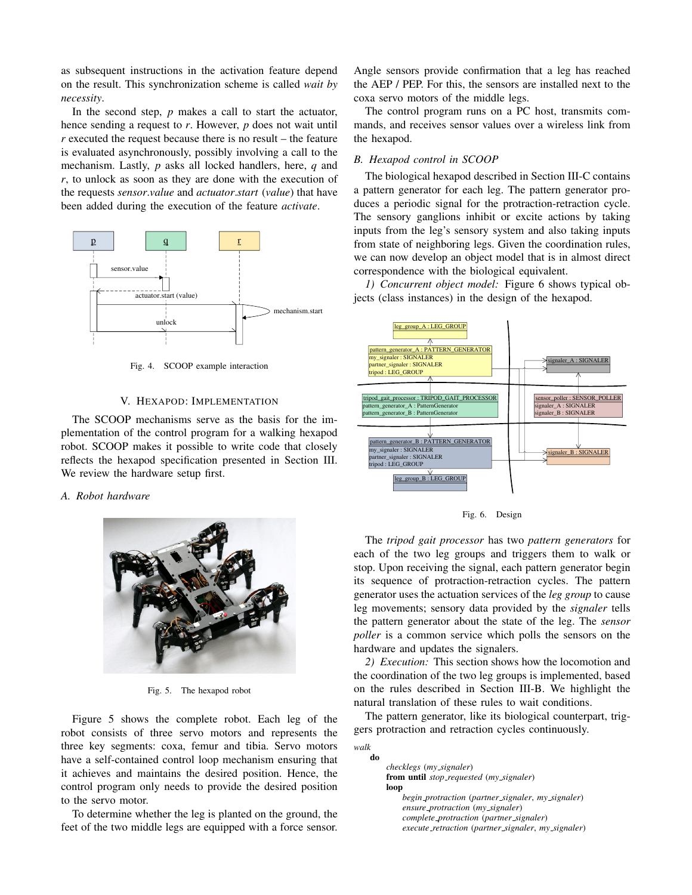as subsequent instructions in the activation feature depend on the result. This synchronization scheme is called *wait by necessity*.

In the second step, *p* makes a call to start the actuator, hence sending a request to *r*. However, *p* does not wait until *r* executed the request because there is no result – the feature is evaluated asynchronously, possibly involving a call to the mechanism. Lastly, *p* asks all locked handlers, here, *q* and *r*, to unlock as soon as they are done with the execution of the requests *sensor*.*value* and *actuator*.*start* (*value*) that have been added during the execution of the feature *activate*.



Fig. 4. SCOOP example interaction

#### V. HEXAPOD: IMPLEMENTATION

The SCOOP mechanisms serve as the basis for the implementation of the control program for a walking hexapod robot. SCOOP makes it possible to write code that closely reflects the hexapod specification presented in Section III. We review the hardware setup first.

#### *A. Robot hardware*



Fig. 5. The hexapod robot

Figure 5 shows the complete robot. Each leg of the robot consists of three servo motors and represents the three key segments: coxa, femur and tibia. Servo motors have a self-contained control loop mechanism ensuring that it achieves and maintains the desired position. Hence, the control program only needs to provide the desired position to the servo motor.

To determine whether the leg is planted on the ground, the feet of the two middle legs are equipped with a force sensor. Angle sensors provide confirmation that a leg has reached the AEP / PEP. For this, the sensors are installed next to the coxa servo motors of the middle legs.

The control program runs on a PC host, transmits commands, and receives sensor values over a wireless link from the hexapod.

# *B. Hexapod control in SCOOP*

The biological hexapod described in Section III-C contains a pattern generator for each leg. The pattern generator produces a periodic signal for the protraction-retraction cycle. The sensory ganglions inhibit or excite actions by taking inputs from the leg's sensory system and also taking inputs from state of neighboring legs. Given the coordination rules, we can now develop an object model that is in almost direct correspondence with the biological equivalent.

*1) Concurrent object model:* Figure 6 shows typical objects (class instances) in the design of the hexapod.



Fig. 6. Design

The *tripod gait processor* has two *pattern generators* for each of the two leg groups and triggers them to walk or stop. Upon receiving the signal, each pattern generator begin its sequence of protraction-retraction cycles. The pattern generator uses the actuation services of the *leg group* to cause leg movements; sensory data provided by the *signaler* tells the pattern generator about the state of the leg. The *sensor poller* is a common service which polls the sensors on the hardware and updates the signalers.

*2) Execution:* This section shows how the locomotion and the coordination of the two leg groups is implemented, based on the rules described in Section III-B. We highlight the natural translation of these rules to wait conditions.

The pattern generator, like its biological counterpart, triggers protraction and retraction cycles continuously.

| do |                                                    |
|----|----------------------------------------------------|
|    | <i>checklegs</i> ( <i>my_signaler</i> )            |
|    | from until stop_requested (my_signaler)            |
|    | loop                                               |
|    | begin_protraction (partner_signaler, my_signaler)  |
|    | ensure_protraction (my_signaler)                   |
|    | complete_protraction (partner_signaler)            |
|    | execute_retraction (partner_signaler, my_signaler) |
|    |                                                    |

*walk*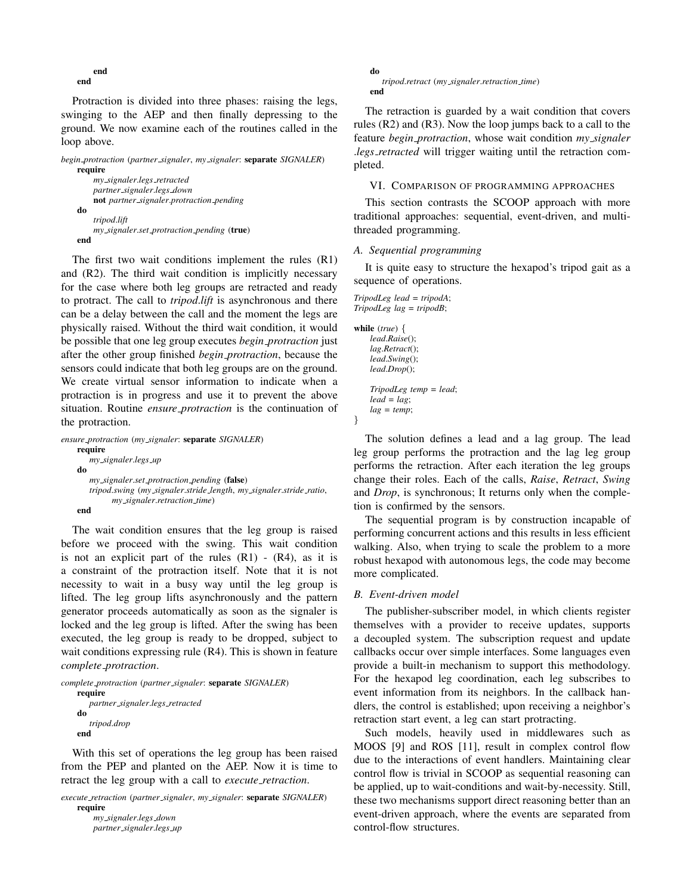end end

Protraction is divided into three phases: raising the legs, swinging to the AEP and then finally depressing to the ground. We now examine each of the routines called in the loop above.

*begin protraction* (*partner signaler*, *my signaler*: separate *SIGNALER*) require *my signaler*.*legs retracted partner signaler*.*legs down* not *partner signaler*.*protraction pending* do *tripod*.*lift my signaler*.*set protraction pending* (true) end

The first two wait conditions implement the rules (R1) and (R2). The third wait condition is implicitly necessary for the case where both leg groups are retracted and ready to protract. The call to *tripod*.*lift* is asynchronous and there can be a delay between the call and the moment the legs are physically raised. Without the third wait condition, it would be possible that one leg group executes *begin protraction* just after the other group finished *begin protraction*, because the sensors could indicate that both leg groups are on the ground. We create virtual sensor information to indicate when a protraction is in progress and use it to prevent the above situation. Routine *ensure protraction* is the continuation of the protraction.

```
ensure protraction (my signaler: separate SIGNALER)
    require
       my signaler.legs up
    do
       my signaler.set protraction pending (false)
       tripod.swing (my signaler.stride length, my signaler.stride ratio,
             my signaler.retraction time)
    end
```
The wait condition ensures that the leg group is raised before we proceed with the swing. This wait condition is not an explicit part of the rules  $(R1)$  -  $(R4)$ , as it is a constraint of the protraction itself. Note that it is not necessity to wait in a busy way until the leg group is lifted. The leg group lifts asynchronously and the pattern generator proceeds automatically as soon as the signaler is locked and the leg group is lifted. After the swing has been executed, the leg group is ready to be dropped, subject to wait conditions expressing rule (R4). This is shown in feature *complete protraction*.

*complete protraction* (*partner signaler*: separate *SIGNALER*) require *partner signaler*.*legs retracted* do *tripod*.*drop* end

With this set of operations the leg group has been raised from the PEP and planted on the AEP. Now it is time to retract the leg group with a call to *execute retraction*.

*execute retraction* (*partner signaler*, *my signaler*: separate *SIGNALER*) require *my signaler*.*legs down partner signaler*.*legs up*

do *tripod*.*retract* (*my signaler*.*retraction time*) end

The retraction is guarded by a wait condition that covers rules (R2) and (R3). Now the loop jumps back to a call to the feature *begin protraction*, whose wait condition *my signaler* .*legs retracted* will trigger waiting until the retraction completed.

# VI. COMPARISON OF PROGRAMMING APPROACHES

This section contrasts the SCOOP approach with more traditional approaches: sequential, event-driven, and multithreaded programming.

# *A. Sequential programming*

It is quite easy to structure the hexapod's tripod gait as a sequence of operations.

```
TripodLeg lead = tripodA;
TripodLeg lag = tripodB;
while (true) {
    lead.Raise();
    lag.Retract();
    lead.Swing();
    lead.Drop();
    TripodLeg temp = lead;
    lead = lag;
    lag = temp;
}
```
The solution defines a lead and a lag group. The lead leg group performs the protraction and the lag leg group performs the retraction. After each iteration the leg groups change their roles. Each of the calls, *Raise*, *Retract*, *Swing* and *Drop*, is synchronous; It returns only when the completion is confirmed by the sensors.

The sequential program is by construction incapable of performing concurrent actions and this results in less efficient walking. Also, when trying to scale the problem to a more robust hexapod with autonomous legs, the code may become more complicated.

### *B. Event-driven model*

The publisher-subscriber model, in which clients register themselves with a provider to receive updates, supports a decoupled system. The subscription request and update callbacks occur over simple interfaces. Some languages even provide a built-in mechanism to support this methodology. For the hexapod leg coordination, each leg subscribes to event information from its neighbors. In the callback handlers, the control is established; upon receiving a neighbor's retraction start event, a leg can start protracting.

Such models, heavily used in middlewares such as MOOS [9] and ROS [11], result in complex control flow due to the interactions of event handlers. Maintaining clear control flow is trivial in SCOOP as sequential reasoning can be applied, up to wait-conditions and wait-by-necessity. Still, these two mechanisms support direct reasoning better than an event-driven approach, where the events are separated from control-flow structures.